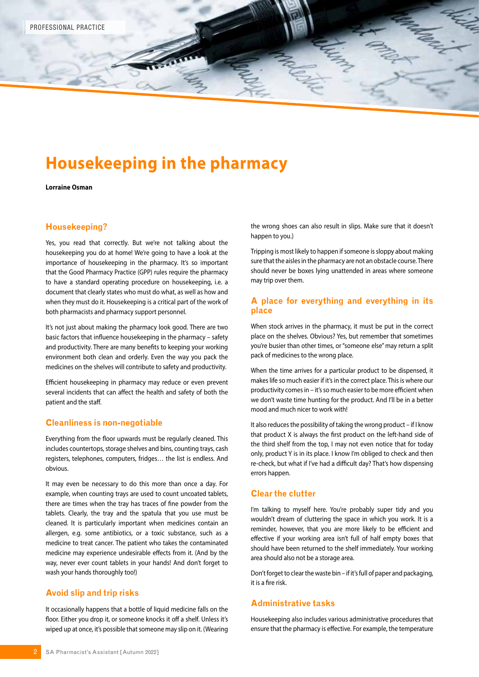

# **Housekeeping in the pharmacy**

**Lorraine Osman**

#### **Housekeeping?**

Yes, you read that correctly. But we're not talking about the housekeeping you do at home! We're going to have a look at the importance of housekeeping in the pharmacy. It's so important that the Good Pharmacy Practice (GPP) rules require the pharmacy to have a standard operating procedure on housekeeping, i.e. a document that clearly states who must do what, as well as how and when they must do it. Housekeeping is a critical part of the work of both pharmacists and pharmacy support personnel.

It's not just about making the pharmacy look good. There are two basic factors that influence housekeeping in the pharmacy – safety and productivity. There are many benefits to keeping your working environment both clean and orderly. Even the way you pack the medicines on the shelves will contribute to safety and productivity.

Efficient housekeeping in pharmacy may reduce or even prevent several incidents that can affect the health and safety of both the patient and the staff.

#### **Cleanliness is non-negotiable**

Everything from the floor upwards must be regularly cleaned. This includes countertops, storage shelves and bins, counting trays, cash registers, telephones, computers, fridges… the list is endless. And obvious.

It may even be necessary to do this more than once a day. For example, when counting trays are used to count uncoated tablets, there are times when the tray has traces of fine powder from the tablets. Clearly, the tray and the spatula that you use must be cleaned. It is particularly important when medicines contain an allergen, e.g. some antibiotics, or a toxic substance, such as a medicine to treat cancer. The patient who takes the contaminated medicine may experience undesirable effects from it. (And by the way, never ever count tablets in your hands! And don't forget to wash your hands thoroughly too!)

### **Avoid slip and trip risks**

It occasionally happens that a bottle of liquid medicine falls on the floor. Either you drop it, or someone knocks it off a shelf. Unless it's wiped up at once, it's possible that someone may slip on it. (Wearing the wrong shoes can also result in slips. Make sure that it doesn't happen to you.)

Tripping is most likely to happen if someone is sloppy about making sure that the aisles in the pharmacy are not an obstacle course. There should never be boxes lying unattended in areas where someone may trip over them.

#### **A place for everything and everything in its place**

When stock arrives in the pharmacy, it must be put in the correct place on the shelves. Obvious? Yes, but remember that sometimes you're busier than other times, or "someone else" may return a split pack of medicines to the wrong place.

When the time arrives for a particular product to be dispensed, it makes life so much easier if it's in the correct place. This is where our productivity comes in – it's so much easier to be more efficient when we don't waste time hunting for the product. And I'll be in a better mood and much nicer to work with!

It also reduces the possibility of taking the wrong product – if I know that product X is always the first product on the left-hand side of the third shelf from the top, I may not even notice that for today only, product Y is in its place. I know I'm obliged to check and then re-check, but what if I've had a difficult day? That's how dispensing errors happen.

## **Clear the clutter**

I'm talking to myself here. You're probably super tidy and you wouldn't dream of cluttering the space in which you work. It is a reminder, however, that you are more likely to be efficient and effective if your working area isn't full of half empty boxes that should have been returned to the shelf immediately. Your working area should also not be a storage area.

Don't forget to clear the waste bin – if it's full of paper and packaging, it is a fire risk.

#### **Administrative tasks**

Housekeeping also includes various administrative procedures that ensure that the pharmacy is effective. For example, the temperature